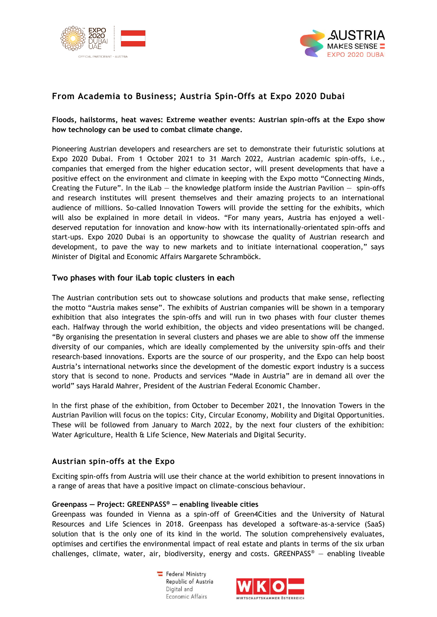



# **From Academia to Business; Austria Spin-Offs at Expo 2020 Dubai**

**Floods, hailstorms, heat waves: Extreme weather events: Austrian spin-offs at the Expo show how technology can be used to combat climate change.** 

Pioneering Austrian developers and researchers are set to demonstrate their futuristic solutions at Expo 2020 Dubai. From 1 October 2021 to 31 March 2022, Austrian academic spin-offs, i.e., companies that emerged from the higher education sector, will present developments that have a positive effect on the environment and climate in keeping with the Expo motto "Connecting Minds, Creating the Future". In the iLab  $-$  the knowledge platform inside the Austrian Pavilion  $-$  spin-offs and research institutes will present themselves and their amazing projects to an international audience of millions. So-called Innovation Towers will provide the setting for the exhibits, which will also be explained in more detail in videos. "For many years, Austria has enjoyed a welldeserved reputation for innovation and know-how with its internationally-orientated spin-offs and start-ups. Expo 2020 Dubai is an opportunity to showcase the quality of Austrian research and development, to pave the way to new markets and to initiate international cooperation," says Minister of Digital and Economic Affairs Margarete Schramböck.

# **Two phases with four iLab topic clusters in each**

The Austrian contribution sets out to showcase solutions and products that make sense, reflecting the motto "Austria makes sense". The exhibits of Austrian companies will be shown in a temporary exhibition that also integrates the spin-offs and will run in two phases with four cluster themes each. Halfway through the world exhibition, the objects and video presentations will be changed. "By organising the presentation in several clusters and phases we are able to show off the immense diversity of our companies, which are ideally complemented by the university spin-offs and their research-based innovations. Exports are the source of our prosperity, and the Expo can help boost Austria's international networks since the development of the domestic export industry is a success story that is second to none. Products and services "Made in Austria" are in demand all over the world" says Harald Mahrer, President of the Austrian Federal Economic Chamber.

In the first phase of the exhibition, from October to December 2021, the Innovation Towers in the Austrian Pavilion will focus on the topics: City, Circular Economy, Mobility and Digital Opportunities. These will be followed from January to March 2022, by the next four clusters of the exhibition: Water Agriculture, Health & Life Science, New Materials and Digital Security.

### **Austrian spin-offs at the Expo**

Exciting spin-offs from Austria will use their chance at the world exhibition to present innovations in a range of areas that have a positive impact on climate-conscious behaviour.

### **Greenpass — Project: GREENPASS® — enabling liveable cities**

Greenpass was founded in Vienna as a spin-off of Green4Cities and the University of Natural Resources and Life Sciences in 2018. Greenpass has developed a software-as-a-service (SaaS) solution that is the only one of its kind in the world. The solution comprehensively evaluates, optimises and certifies the environmental impact of real estate and plants in terms of the six urban challenges, climate, water, air, biodiversity, energy and costs. GREENPASS<sup>®</sup> — enabling liveable

> Federal Ministry Republic of Austria Digital and Economic Affairs

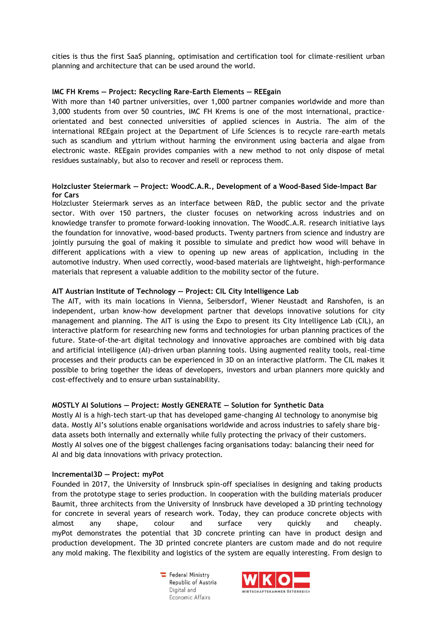cities is thus the first SaaS planning, optimisation and certification tool for climate-resilient urban planning and architecture that can be used around the world.

# **IMC FH Krems — Project: Recycling Rare-Earth Elements — REEgain**

With more than 140 partner universities, over 1,000 partner companies worldwide and more than 3,000 students from over 50 countries, IMC FH Krems is one of the most international, practiceorientated and best connected universities of applied sciences in Austria. The aim of the international REEgain project at the Department of Life Sciences is to recycle rare-earth metals such as scandium and yttrium without harming the environment using bacteria and algae from electronic waste. REEgain provides companies with a new method to not only dispose of metal residues sustainably, but also to recover and resell or reprocess them.

# **Holzcluster Steiermark — Project: WoodC.A.R., Development of a Wood-Based Side-Impact Bar for Cars**

Holzcluster Steiermark serves as an interface between R&D, the public sector and the private sector. With over 150 partners, the cluster focuses on networking across industries and on knowledge transfer to promote forward-looking innovation. The WoodC.A.R. research initiative lays the foundation for innovative, wood-based products. Twenty partners from science and industry are jointly pursuing the goal of making it possible to simulate and predict how wood will behave in different applications with a view to opening up new areas of application, including in the automotive industry. When used correctly, wood-based materials are lightweight, high-performance materials that represent a valuable addition to the mobility sector of the future.

# **AIT Austrian Institute of Technology — Project: CIL City Intelligence Lab**

The AIT, with its main locations in Vienna, Seibersdorf, Wiener Neustadt and Ranshofen, is an independent, urban know-how development partner that develops innovative solutions for city management and planning. The AIT is using the Expo to present its City Intelligence Lab (CIL), an interactive platform for researching new forms and technologies for urban planning practices of the future. State-of-the-art digital technology and innovative approaches are combined with big data and artificial intelligence (AI)-driven urban planning tools. Using augmented reality tools, real-time processes and their products can be experienced in 3D on an interactive platform. The CIL makes it possible to bring together the ideas of developers, investors and urban planners more quickly and cost-effectively and to ensure urban sustainability.

### **MOSTLY AI Solutions — Project: Mostly GENERATE — Solution for Synthetic Data**

Mostly AI is a high-tech start-up that has developed game-changing AI technology to anonymise big data. Mostly AI's solutions enable organisations worldwide and across industries to safely share bigdata assets both internally and externally while fully protecting the privacy of their customers. Mostly AI solves one of the biggest challenges facing organisations today: balancing their need for AI and big data innovations with privacy protection.

### **Incremental3D — Project: myPot**

Founded in 2017, the University of Innsbruck spin-off specialises in designing and taking products from the prototype stage to series production. In cooperation with the building materials producer Baumit, three architects from the University of Innsbruck have developed a 3D printing technology for concrete in several years of research work. Today, they can produce concrete objects with almost any shape, colour and surface very quickly and cheaply. myPot demonstrates the potential that 3D concrete printing can have in product design and production development. The 3D printed concrete planters are custom made and do not require any mold making. The flexibility and logistics of the system are equally interesting. From design to

> Federal Ministry Republic of Austria Digital and Economic Affairs